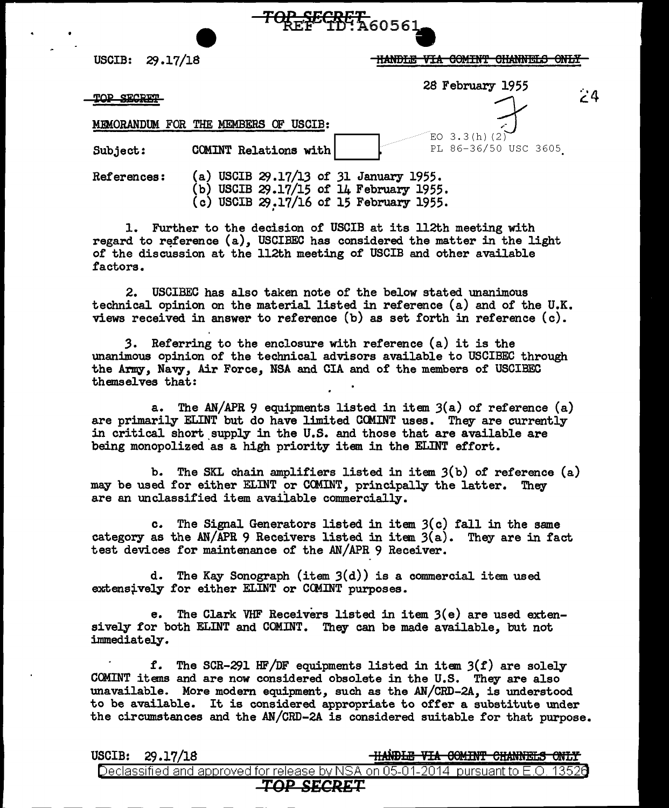USCIB: 29.17/18

THANDLE VIA COMINT CHANNELS ONLY

 $\overline{E}$ O 3.3(h)(2)<br>PL 86-36/50 USC 3605

28 February 1955

- 4

MBMORANDUM FOR THE MEMBERS OF USCIB:

Subject: COMINT Relations with

**TOP SECRET** 

References: (a) USCIB 29.17/13 of 31 January 1955.  $(b)$  USCIB 29.17/15 of 14 February 1955.

(c) USCIB  $29.17/16$  of 15 February 1955.

<del>TOP\_SEGRET\_</del><br>REF<sup>EGRET</sup>A60561

1. Further to the decision of USCIB at its 112th meeting with regard to reference  $(a)$ , USCIBEC has considered the matter in the light of the discussion at the 112th meeting of USCIB and other available factors.

2. USCIBEC has also taken note of the below stated unanimous technical opinion on the material listed in reference (a) and of the U.K. views received in answer to reference (b) as set forth in reference (c).

*3.* Referring to the enclosure with reference (a) it is the unanimous opinion of the technical advisors available to USCIBEC through the Army, Navy, Air Force, NSA and CIA and of the members of USCIBEC themselves that:

a. The AN/APR 9 equipments listed in item  $3(a)$  of reference  $(a)$ are primarily ELINT but do have limited COMINT uses. They are currently in critical short supply in the U.S. and those that are available are being monopolized as a high priority item in the ELINT effort.

b. The SKL chain amplifiers listed in item 3(b) of reference (a) may be used for either ELINT or CCMINT, principally the latter. They are an unclassified item available commercially.

c. The Signal Generators listed in item  $3(c)$  fall in the same category as the AN/APR 9 Receivers listed in item  $3(a)$ . They are in fact test devices for maintenance of the AN/APR 9 Receiver.

d. The Kay Sonograph (item  $3(d)$ ) is a commercial item used extensively for either ELINT or CCMINT purposes.

e. The Clark VHF Receivers listed in item 3(e) are used extensively for both ELINT and COMINT. They can be made available, but not immediately.

f. The SCR-291 HF/DF equipments listed in item  $3(f)$  are solely COMINT items and are now considered obsolete in the U.S. They are also unavailable. More modem equipment, such as the AN/CRD-2A, is understood to be available. It is considered appropriate to offer a substitute under the circumstances and the AN/CRD-2A is considered suitable for that purpose.

 $USCIB: 29.17/18$ 

<u>-HANDLE VIA COMINT CHANNELS O</u>

Declassified and approved for release by NSA on 05-01-2014 pursuant to E.O. 13526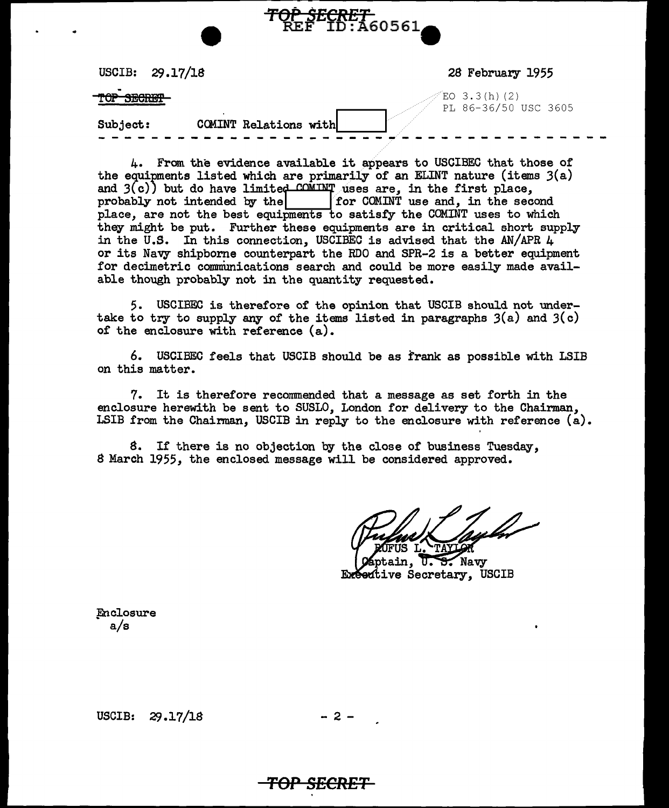|                | USCIB: $29.17/18$     | 28 February 1955                       |
|----------------|-----------------------|----------------------------------------|
| $\blacksquare$ |                       | $EO$ 3.3(h)(2)<br>PL 86-36/50 USC 3605 |
| Subject:       | COMINT Relations with |                                        |

**TOP SECRET**<br>REF ID:A60561

4. From the evidence available it appears to USCIBEC that those of the equipments listed which are primarily of an ELINT nature (items  $3(a)$ ) and  $3(c)$  but do have limited COMINT uses are, in the first place,<br>probably not intended by the for COMINT use and, in the second probably not intended by the place, are not the best equipments to satisfy the COMINT uses to which they might be put. Further these equipments are in critical short supply in the U.S. In this connection, USCIBEC is advised that the AN/APR 4 or its Navy shipborne counterpart the RDO and SPR-2 is a better equipment for decimetric communications search and could be more easily made available though probably not in the quantity requested.

5. USCIBEC is therefore of the opinion that USCIB should not undertake to try to supply any of the items listed in paragraphs  $3(a)$  and  $3(c)$ of the enclosure with reference (a).

6. USCIBEC feels that USCIB should be as frank as possible with LSIB on this matter.

7. It is therefore recommended that a message as set forth in the enclosure herewith be sent to SUSLO, London for delivery to the Chairman, LSIB from the Chairman, USCIB in reply to the enclosure with reference (a).

S. If there is no objection by the close of business Tuesday, S March 1955, the enclosed message will be considered approved.

 $\theta$ tain,  $\overline{0}$ . S. Navy Executive Secretary, USCIB

Enclosure a/s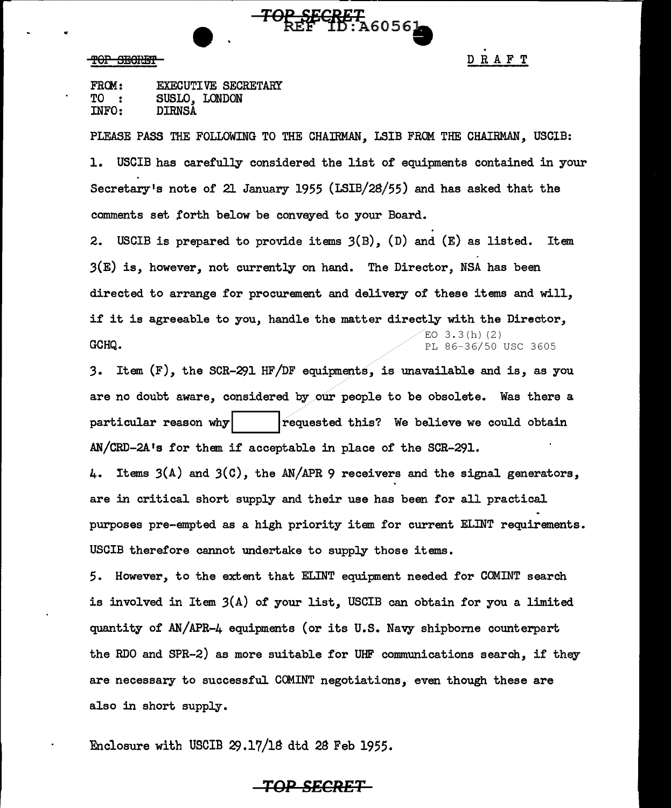#### TOP SECRET

DRAFT

| FROM: | <b>EXECUTIVE SECRETARY</b> |
|-------|----------------------------|
| TO :  | SUSLO, LONDON              |
| INFO: | <b>DIRNSA</b>              |

PLEASE PASS THE FOLLOWING TO THE CHAIRMAN, LSIB FROM THE CHAIRMAN, USClB: 1. USCIB has careful]Jr considered the list of equipments contained in your Secretary's note of 21 January 1955 (LSIB/28/55) and has asked that the comments set forth below be conveyed to your Board.

<del>TOP SECRET</del><br>REF 1D:A60561

2. USCIB is prepared to provide items 3(B), (D) and (E) as listed. Item  $3(E)$  is, however, not currently on hand. The Director, NSA has been directed to arrange for procurement and delivery of these items and will, if it is agreeable to you, handle the matter directly with the Director,  $EO$  3.3 $(h)$   $(2)$ **GCHQ.** PL 86-36/50 USC 3605

3. Item (F), the SCR-291 HF/DF equipments, is unavailable and is, as you are no doubt aware, considered by our people to be obsolete. Was there a particular reason why  $\vert$  .... lrequested this? We believe we could obtain AN/CRD-2A <sup>1</sup>s for them if acceptable in place of the SCR-291.

4. Items 3(A) and 3(C), the AN/APR 9 receivers and the signal generators, are in critical short supply and their use has been for all practical purposes pre-empted as a high priority item for current ELINT requirements. USCIB therefore cannot undertake to supply those items.

5. However, to the extent that ELINT equipment needed for COMINT search is involved in Item 3(A) of your list, USCIB can obtain for you a limited quantity of AN/APR-4 equipments (or its U.S. Navy shipborne counterpart the RDO and SPR-2) as more suitable for UHF communications search, if they are necessary to successful COMINT negotiations, even though these are also in short supply.

Enclosure with USCIB 29.17/lB dtd 28 Feb 1955.